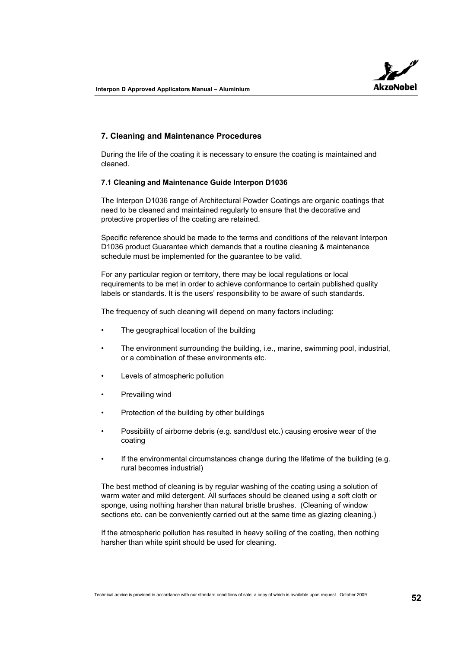

## **7. Cleaning and Maintenance Procedures**

During the life of the coating it is necessary to ensure the coating is maintained and cleaned.

## **7.1 Cleaning and Maintenance Guide Interpon D1036**

The Interpon D1036 range of Architectural Powder Coatings are organic coatings that need to be cleaned and maintained regularly to ensure that the decorative and protective properties of the coating are retained.

Specific reference should be made to the terms and conditions of the relevant Interpon D1036 product Guarantee which demands that a routine cleaning & maintenance schedule must be implemented for the guarantee to be valid.

For any particular region or territory, there may be local regulations or local requirements to be met in order to achieve conformance to certain published quality labels or standards. It is the users' responsibility to be aware of such standards.

The frequency of such cleaning will depend on many factors including:

- The geographical location of the building
- The environment surrounding the building, i.e., marine, swimming pool, industrial, or a combination of these environments etc.
- Levels of atmospheric pollution
- Prevailing wind
- Protection of the building by other buildings
- Possibility of airborne debris (e.g. sand/dust etc.) causing erosive wear of the coating
- If the environmental circumstances change during the lifetime of the building (e.g. rural becomes industrial)

The best method of cleaning is by regular washing of the coating using a solution of warm water and mild detergent. All surfaces should be cleaned using a soft cloth or sponge, using nothing harsher than natural bristle brushes. (Cleaning of window sections etc. can be conveniently carried out at the same time as glazing cleaning.)

If the atmospheric pollution has resulted in heavy soiling of the coating, then nothing harsher than white spirit should be used for cleaning.